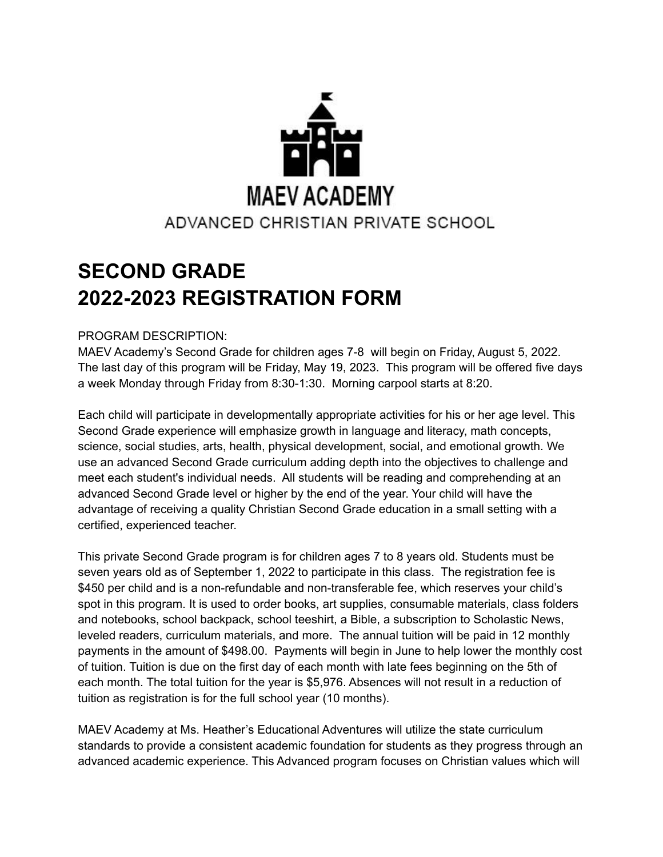

# **SECOND GRADE 2022-2023 REGISTRATION FORM**

## PROGRAM DESCRIPTION:

MAEV Academy's Second Grade for children ages 7-8 will begin on Friday, August 5, 2022. The last day of this program will be Friday, May 19, 2023. This program will be offered five days a week Monday through Friday from 8:30-1:30. Morning carpool starts at 8:20.

Each child will participate in developmentally appropriate activities for his or her age level. This Second Grade experience will emphasize growth in language and literacy, math concepts, science, social studies, arts, health, physical development, social, and emotional growth. We use an advanced Second Grade curriculum adding depth into the objectives to challenge and meet each student's individual needs. All students will be reading and comprehending at an advanced Second Grade level or higher by the end of the year. Your child will have the advantage of receiving a quality Christian Second Grade education in a small setting with a certified, experienced teacher.

This private Second Grade program is for children ages 7 to 8 years old. Students must be seven years old as of September 1, 2022 to participate in this class. The registration fee is \$450 per child and is a non-refundable and non-transferable fee, which reserves your child's spot in this program. It is used to order books, art supplies, consumable materials, class folders and notebooks, school backpack, school teeshirt, a Bible, a subscription to Scholastic News, leveled readers, curriculum materials, and more. The annual tuition will be paid in 12 monthly payments in the amount of \$498.00. Payments will begin in June to help lower the monthly cost of tuition. Tuition is due on the first day of each month with late fees beginning on the 5th of each month. The total tuition for the year is \$5,976. Absences will not result in a reduction of tuition as registration is for the full school year (10 months).

MAEV Academy at Ms. Heather's Educational Adventures will utilize the state curriculum standards to provide a consistent academic foundation for students as they progress through an advanced academic experience. This Advanced program focuses on Christian values which will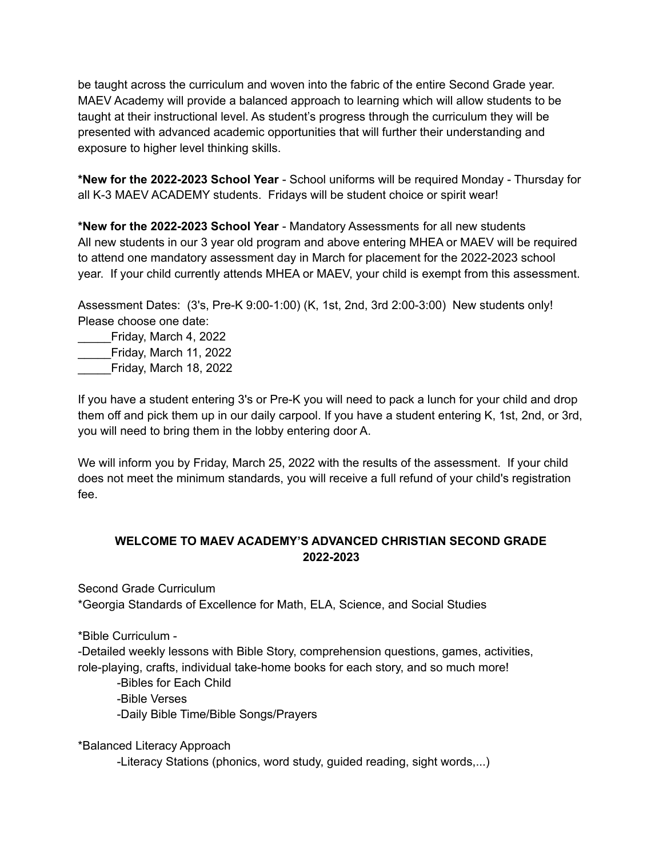be taught across the curriculum and woven into the fabric of the entire Second Grade year. MAEV Academy will provide a balanced approach to learning which will allow students to be taught at their instructional level. As student's progress through the curriculum they will be presented with advanced academic opportunities that will further their understanding and exposure to higher level thinking skills.

**\*New for the 2022-2023 School Year** - School uniforms will be required Monday - Thursday for all K-3 MAEV ACADEMY students. Fridays will be student choice or spirit wear!

**\*New for the 2022-2023 School Year** - Mandatory Assessments for all new students All new students in our 3 year old program and above entering MHEA or MAEV will be required to attend one mandatory assessment day in March for placement for the 2022-2023 school year. If your child currently attends MHEA or MAEV, your child is exempt from this assessment.

Assessment Dates: (3's, Pre-K 9:00-1:00) (K, 1st, 2nd, 3rd 2:00-3:00) New students only! Please choose one date:

\_\_\_\_\_Friday, March 4, 2022 \_\_\_\_\_Friday, March 11, 2022 \_\_\_\_\_Friday, March 18, 2022

If you have a student entering 3's or Pre-K you will need to pack a lunch for your child and drop them off and pick them up in our daily carpool. If you have a student entering K, 1st, 2nd, or 3rd, you will need to bring them in the lobby entering door A.

We will inform you by Friday, March 25, 2022 with the results of the assessment. If your child does not meet the minimum standards, you will receive a full refund of your child's registration fee.

# **WELCOME TO MAEV ACADEMY'S ADVANCED CHRISTIAN SECOND GRADE 2022-2023**

Second Grade Curriculum

\*Georgia Standards of Excellence for Math, ELA, Science, and Social Studies

\*Bible Curriculum -

-Detailed weekly lessons with Bible Story, comprehension questions, games, activities, role-playing, crafts, individual take-home books for each story, and so much more!

-Bibles for Each Child -Bible Verses -Daily Bible Time/Bible Songs/Prayers

\*Balanced Literacy Approach

-Literacy Stations (phonics, word study, guided reading, sight words,...)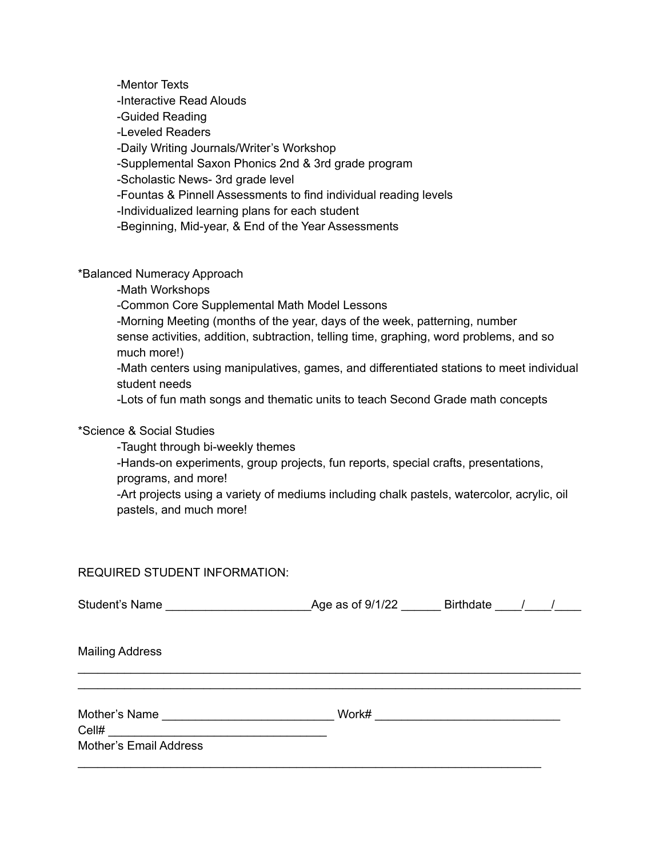-Mentor Texts -Interactive Read Alouds -Guided Reading -Leveled Readers -Daily Writing Journals/Writer's Workshop -Supplemental Saxon Phonics 2nd & 3rd grade program -Scholastic News- 3rd grade level -Fountas & Pinnell Assessments to find individual reading levels -Individualized learning plans for each student -Beginning, Mid-year, & End of the Year Assessments

\*Balanced Numeracy Approach

-Math Workshops

-Common Core Supplemental Math Model Lessons

-Morning Meeting (months of the year, days of the week, patterning, number sense activities, addition, subtraction, telling time, graphing, word problems, and so much more!)

-Math centers using manipulatives, games, and differentiated stations to meet individual student needs

-Lots of fun math songs and thematic units to teach Second Grade math concepts

#### \*Science & Social Studies

-Taught through bi-weekly themes

-Hands-on experiments, group projects, fun reports, special crafts, presentations, programs, and more!

-Art projects using a variety of mediums including chalk pastels, watercolor, acrylic, oil pastels, and much more!

### REQUIRED STUDENT INFORMATION:

| <b>Mailing Address</b>                         |       |  |  |
|------------------------------------------------|-------|--|--|
| Mother's Name<br><b>Mother's Email Address</b> | Work# |  |  |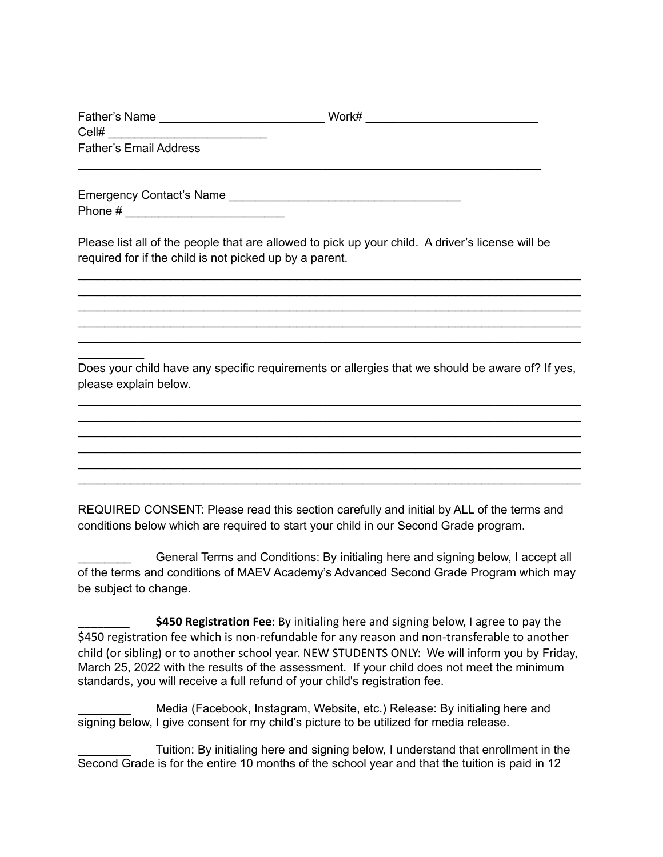| Father's Name                 | Work# |
|-------------------------------|-------|
| Cell#                         |       |
| <b>Father's Email Address</b> |       |

\_\_\_\_\_\_\_\_\_\_\_\_\_\_\_\_\_\_\_\_\_\_\_\_\_\_\_\_\_\_\_\_\_\_\_\_\_\_\_\_\_\_\_\_\_\_\_\_\_\_\_\_\_\_\_\_\_\_\_\_\_\_\_\_\_\_\_\_\_\_

Emergency Contact's Name \_\_\_\_\_\_\_\_\_\_\_\_\_\_\_\_\_\_\_\_\_\_\_\_\_\_\_\_\_\_\_\_\_\_\_ Phone # \_\_\_\_\_\_\_\_\_\_\_\_\_\_\_\_\_\_\_\_\_\_\_\_

 $\frac{1}{2}$  ,  $\frac{1}{2}$  ,  $\frac{1}{2}$  ,  $\frac{1}{2}$  ,  $\frac{1}{2}$ 

Please list all of the people that are allowed to pick up your child. A driver's license will be required for if the child is not picked up by a parent.

\_\_\_\_\_\_\_\_\_\_\_\_\_\_\_\_\_\_\_\_\_\_\_\_\_\_\_\_\_\_\_\_\_\_\_\_\_\_\_\_\_\_\_\_\_\_\_\_\_\_\_\_\_\_\_\_\_\_\_\_\_\_\_\_\_\_\_\_\_\_\_\_\_\_\_\_ \_\_\_\_\_\_\_\_\_\_\_\_\_\_\_\_\_\_\_\_\_\_\_\_\_\_\_\_\_\_\_\_\_\_\_\_\_\_\_\_\_\_\_\_\_\_\_\_\_\_\_\_\_\_\_\_\_\_\_\_\_\_\_\_\_\_\_\_\_\_\_\_\_\_\_\_ \_\_\_\_\_\_\_\_\_\_\_\_\_\_\_\_\_\_\_\_\_\_\_\_\_\_\_\_\_\_\_\_\_\_\_\_\_\_\_\_\_\_\_\_\_\_\_\_\_\_\_\_\_\_\_\_\_\_\_\_\_\_\_\_\_\_\_\_\_\_\_\_\_\_\_\_ \_\_\_\_\_\_\_\_\_\_\_\_\_\_\_\_\_\_\_\_\_\_\_\_\_\_\_\_\_\_\_\_\_\_\_\_\_\_\_\_\_\_\_\_\_\_\_\_\_\_\_\_\_\_\_\_\_\_\_\_\_\_\_\_\_\_\_\_\_\_\_\_\_\_\_\_ \_\_\_\_\_\_\_\_\_\_\_\_\_\_\_\_\_\_\_\_\_\_\_\_\_\_\_\_\_\_\_\_\_\_\_\_\_\_\_\_\_\_\_\_\_\_\_\_\_\_\_\_\_\_\_\_\_\_\_\_\_\_\_\_\_\_\_\_\_\_\_\_\_\_\_\_

Does your child have any specific requirements or allergies that we should be aware of? If yes, please explain below.

\_\_\_\_\_\_\_\_\_\_\_\_\_\_\_\_\_\_\_\_\_\_\_\_\_\_\_\_\_\_\_\_\_\_\_\_\_\_\_\_\_\_\_\_\_\_\_\_\_\_\_\_\_\_\_\_\_\_\_\_\_\_\_\_\_\_\_\_\_\_\_\_\_\_\_\_ \_\_\_\_\_\_\_\_\_\_\_\_\_\_\_\_\_\_\_\_\_\_\_\_\_\_\_\_\_\_\_\_\_\_\_\_\_\_\_\_\_\_\_\_\_\_\_\_\_\_\_\_\_\_\_\_\_\_\_\_\_\_\_\_\_\_\_\_\_\_\_\_\_\_\_\_ \_\_\_\_\_\_\_\_\_\_\_\_\_\_\_\_\_\_\_\_\_\_\_\_\_\_\_\_\_\_\_\_\_\_\_\_\_\_\_\_\_\_\_\_\_\_\_\_\_\_\_\_\_\_\_\_\_\_\_\_\_\_\_\_\_\_\_\_\_\_\_\_\_\_\_\_ \_\_\_\_\_\_\_\_\_\_\_\_\_\_\_\_\_\_\_\_\_\_\_\_\_\_\_\_\_\_\_\_\_\_\_\_\_\_\_\_\_\_\_\_\_\_\_\_\_\_\_\_\_\_\_\_\_\_\_\_\_\_\_\_\_\_\_\_\_\_\_\_\_\_\_\_ \_\_\_\_\_\_\_\_\_\_\_\_\_\_\_\_\_\_\_\_\_\_\_\_\_\_\_\_\_\_\_\_\_\_\_\_\_\_\_\_\_\_\_\_\_\_\_\_\_\_\_\_\_\_\_\_\_\_\_\_\_\_\_\_\_\_\_\_\_\_\_\_\_\_\_\_ \_\_\_\_\_\_\_\_\_\_\_\_\_\_\_\_\_\_\_\_\_\_\_\_\_\_\_\_\_\_\_\_\_\_\_\_\_\_\_\_\_\_\_\_\_\_\_\_\_\_\_\_\_\_\_\_\_\_\_\_\_\_\_\_\_\_\_\_\_\_\_\_\_\_\_\_

REQUIRED CONSENT: Please read this section carefully and initial by ALL of the terms and conditions below which are required to start your child in our Second Grade program.

\_\_\_\_\_\_\_\_ General Terms and Conditions: By initialing here and signing below, I accept all of the terms and conditions of MAEV Academy's Advanced Second Grade Program which may be subject to change.

\$450 Registration Fee: By initialing here and signing below, I agree to pay the \$450 registration fee which is non-refundable for any reason and non-transferable to another child (or sibling) or to another school year. NEW STUDENTS ONLY: We will inform you by Friday, March 25, 2022 with the results of the assessment. If your child does not meet the minimum standards, you will receive a full refund of your child's registration fee.

Media (Facebook, Instagram, Website, etc.) Release: By initialing here and signing below, I give consent for my child's picture to be utilized for media release.

Tuition: By initialing here and signing below, I understand that enrollment in the Second Grade is for the entire 10 months of the school year and that the tuition is paid in 12